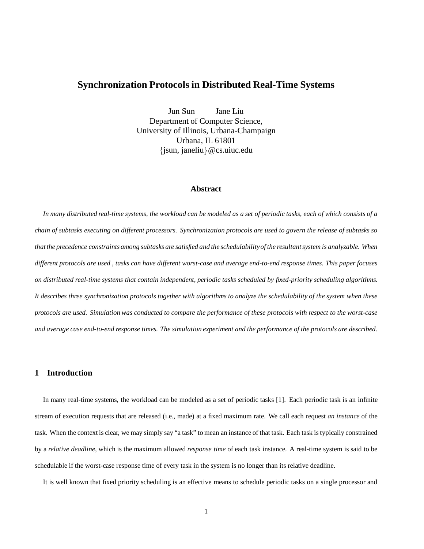# **Synchronization Protocols in Distributed Real-Time Systems**

Jun Sun Jane Liu Department of Computer Science, University of Illinois, Urbana-Champaign Urbana, IL 61801  $\{jsun, janeliu\}$ @cs.uiuc.edu

# **Abstract**

*In many distributed real-time systems, the workload can be modeled as a set of periodic tasks, each of which consists of a chain of subtasks executing on different processors. Synchronization protocols are used to govern the release of subtasks so that the precedence constraints among subtasks are satisfied and the schedulabilityof the resultant system is analyzable. When different protocols are used , tasks can have different worst-case and average end-to-end response times. This paper focuses on distributed real-time systems that contain independent, periodic tasks scheduled by fixed-priority scheduling algorithms. It describes three synchronization protocols together with algorithms to analyze the schedulability of the system when these protocols are used. Simulation was conducted to compare the performance of these protocols with respect to the worst-case and average case end-to-end response times. The simulation experiment and the performance of the protocols are described.*

## **1 Introduction**

In many real-time systems, the workload can be modeled as a set of periodic tasks [1]. Each periodic task is an infinite stream of execution requests that are released (i.e., made) at a fixed maximum rate. We call each request *an instance* of the task. When the context is clear, we may simply say "a task" to mean an instance of that task. Each task is typically constrained by a *relative deadline*, which is the maximum allowed *response time* of each task instance. A real-time system is said to be schedulable if the worst-case response time of every task in the system is no longer than its relative deadline.

It is well known that fixed priority scheduling is an effective means to schedule periodic tasks on a single processor and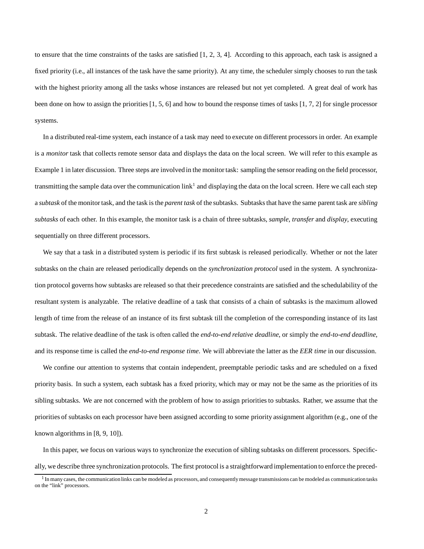to ensure that the time constraints of the tasks are satisfied  $[1, 2, 3, 4]$ . According to this approach, each task is assigned a fixed priority (i.e., all instances of the task have the same priority). At any time, the scheduler simply chooses to run the task with the highest priority among all the tasks whose instances are released but not yet completed. A great deal of work has been done on how to assign the priorities [1, 5, 6] and how to bound the response times of tasks [1, 7, 2] for single processor systems.

In a distributed real-time system, each instance of a task may need to execute on different processors in order. An example is a *monitor* task that collects remote sensor data and displays the data on the local screen. We will refer to this example as Example 1 in later discussion. Three steps are involved in the monitor task: sampling the sensor reading on the field processor, transmitting the sample data over the communication link<sup>1</sup> and displaying the data on the local screen. Here we call each step a *subtask* of the monitor task, and the task is the *parent task* of the subtasks. Subtasks that have the same parent task are *sibling subtasks* of each other. In this example, the monitor task is a chain of three subtasks, *sample*, *transfer* and *display*, executing sequentially on three different processors.

We say that a task in a distributed system is periodic if its first subtask is released periodically. Whether or not the later subtasks on the chain are released periodically depends on the *synchronization protocol* used in the system. A synchronization protocol governs how subtasks are released so that their precedence constraints are satisfied and the schedulability of the resultant system is analyzable. The relative deadline of a task that consists of a chain of subtasks is the maximum allowed length of time from the release of an instance of its first subtask till the completion of the corresponding instance of its last subtask. The relative deadline of the task is often called the *end-to-end relative deadline*, or simply the *end-to-end deadline*, and its response time is called the *end-to-end response time*. We will abbreviate the latter as the *EER time* in our discussion.

We confine our attention to systems that contain independent, preemptable periodic tasks and are scheduled on a fixed priority basis. In such a system, each subtask has a fixed priority, which may or may not be the same as the priorities of its sibling subtasks. We are not concerned with the problem of how to assign priorities to subtasks. Rather, we assume that the priorities of subtasks on each processor have been assigned according to some priority assignment algorithm (e.g., one of the known algorithms in [8, 9, 10]).

In this paper, we focus on various ways to synchronize the execution of sibling subtasks on different processors. Specifically, we describe three synchronization protocols. The first protocol is a straightforward implementation to enforce the preced-

<sup>&</sup>lt;sup>1</sup> In many cases, the communication links can be modeled as processors, and consequently message transmissions can be modeled as communication tasks on the "link" processors.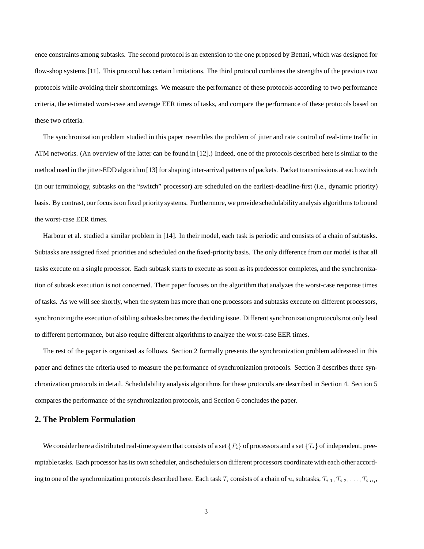ence constraints among subtasks. The second protocol is an extension to the one proposed by Bettati, which was designed for flow-shop systems [11]. This protocol has certain limitations. The third protocol combines the strengths of the previous two protocols while avoiding their shortcomings. We measure the performance of these protocols according to two performance criteria, the estimated worst-case and average EER times of tasks, and compare the performance of these protocols based on these two criteria.

The synchronization problem studied in this paper resembles the problem of jitter and rate control of real-time traffic in ATM networks. (An overview of the latter can be found in [12].) Indeed, one of the protocols described here is similar to the method used in the jitter-EDD algorithm [13] for shaping inter-arrival patterns of packets. Packet transmissions at each switch (in our terminology, subtasks on the "switch" processor) are scheduled on the earliest-deadline-first (i.e., dynamic priority) basis. By contrast, our focus is on fixed prioritysystems. Furthermore, we provide schedulability analysis algorithmsto bound the worst-case EER times.

Harbour et al. studied a similar problem in [14]. In their model, each task is periodic and consists of a chain of subtasks. Subtasks are assigned fixed priorities and scheduled on the fixed-priority basis. The only difference from our model is that all tasks execute on a single processor. Each subtask starts to execute as soon as its predecessor completes, and the synchronization of subtask execution is not concerned. Their paper focuses on the algorithm that analyzes the worst-case response times of tasks. As we will see shortly, when the system has more than one processors and subtasks execute on different processors, synchronizing the execution of sibling subtasks becomes the deciding issue. Different synchronization protocols not only lead to different performance, but also require different algorithms to analyze the worst-case EER times.

The rest of the paper is organized as follows. Section 2 formally presents the synchronization problem addressed in this paper and defines the criteria used to measure the performance of synchronization protocols. Section 3 describes three synchronization protocols in detail. Schedulability analysis algorithms for these protocols are described in Section 4. Section 5 compares the performance of the synchronization protocols, and Section 6 concludes the paper.

#### **2. The Problem Formulation**

We consider here a distributed real-time system that consists of a set  $\{P_i\}$  of processors and a set  $\{T_i\}$  of independent, preemptable tasks. Each processor has its own scheduler, and schedulers on different processors coordinate with each other according to one of the synchronization protocols described here. Each task  $T_i$  consists of a chain of  $n_i$  subtasks,  $T_{i,1}, T_{i,2}, \ldots, T_{i,n_i}$ ,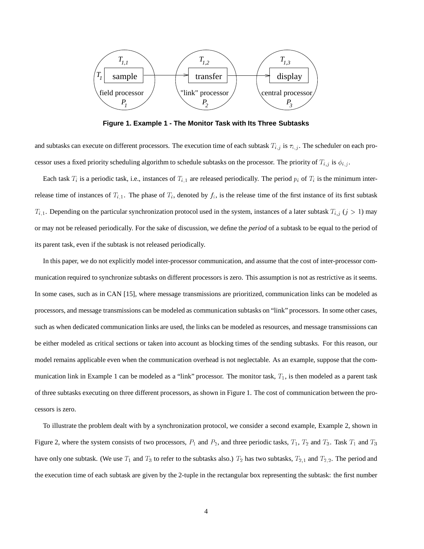

**Figure 1. Example 1 - The Monitor Task with Its Three Subtasks**

and subtasks can execute on different processors. The execution time of each subtask  $T_{i,j}$  is  $\tau_{i,j}$ . The scheduler on each processor uses a fixed priority scheduling algorithm to schedule subtasks on the processor. The priority of  $T_{i,j}$  is  $\phi_{i,j}$ .

Each task  $T_i$  is a periodic task, i.e., instances of  $T_{i,1}$  are released periodically. The period  $p_i$  of  $T_i$  is the minimum interrelease time of instances of  $T_{i,1}$ . The phase of  $T_i$ , denoted by  $f_i$ , is the release time of the first instance of its first subtask  $T_{i,1}$ . Depending on the particular synchronization protocol used in the system, instances of a later subtask  $T_{i,j}$  ( $j > 1$ ) may or may not be released periodically. For the sake of discussion, we define the *period* of a subtask to be equal to the period of its parent task, even if the subtask is not released periodically.

In this paper, we do not explicitly model inter-processor communication, and assume that the cost of inter-processor communication required to synchronize subtasks on different processors is zero. This assumption is not as restrictive as it seems. In some cases, such as in CAN [15], where message transmissions are prioritized, communication links can be modeled as processors, and message transmissions can be modeled as communication subtasks on "link" processors. In some other cases, such as when dedicated communication links are used, the links can be modeled as resources, and message transmissions can be either modeled as critical sections or taken into account as blocking times of the sending subtasks. For this reason, our model remains applicable even when the communication overhead is not neglectable. As an example, suppose that the communication link in Example 1 can be modeled as a "link" processor. The monitor task,  $T_1$ , is then modeled as a parent task of three subtasks executing on three different processors, as shown in Figure 1. The cost of communication between the processors is zero.

To illustrate the problem dealt with by a synchronization protocol, we consider a second example, Example 2, shown in Figure 2, where the system consists of two processors,  $P_1$  and  $P_2$ , and three periodic tasks,  $T_1$ ,  $T_2$  and  $T_3$ . Task  $T_1$  and  $T_3$ have only one subtask. (We use  $T_1$  and  $T_3$  to refer to the subtasks also.)  $T_2$  has two subtasks,  $T_{2,1}$  and  $T_{2,2}$ . The period and the execution time of each subtask are given by the 2-tuple in the rectangular box representing the subtask: the first number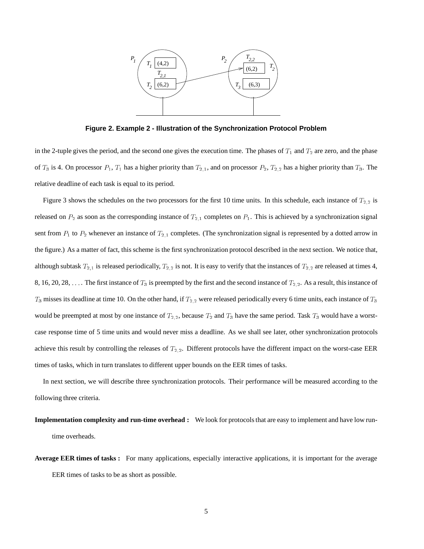

**Figure 2. Example 2 - Illustration of the Synchronization Protocol Problem**

in the 2-tuple gives the period, and the second one gives the execution time. The phases of  $T_1$  and  $T_2$  are zero, and the phase of  $T_3$  is 4. On processor  $P_1$ ,  $T_1$  has a higher priority than  $T_{2,1}$ , and on processor  $P_2$ ,  $T_{2,2}$  has a higher priority than  $T_3$ . The relative deadline of each task is equal to its period.

Figure 3 shows the schedules on the two processors for the first 10 time units. In this schedule, each instance of  $T_{2,2}$  is released on  $P_2$  as soon as the corresponding instance of  $T_{2,1}$  completes on  $P_1$ . This is achieved by a synchronization signal sent from  $P_1$  to  $P_2$  whenever an instance of  $T_{2,1}$  completes. (The synchronization signal is represented by a dotted arrow in the figure.) As a matter of fact, this scheme is the first synchronization protocol described in the next section. We notice that, although subtask  $T_{2,1}$  is released periodically,  $T_{2,2}$  is not. It is easy to verify that the instances of  $T_{2,2}$  are released at times 4, 8, 16, 20, 28,  $\dots$  The first instance of  $T_3$  is preempted by the first and the second instance of  $T_{2,2}$ . As a result, this instance of  $T_3$  misses its deadline at time 10. On the other hand, if  $T_{2,2}$  were released periodically every 6 time units, each instance of  $T_3$ would be preempted at most by one instance of  $T_{2,2}$ , because  $T_2$  and  $T_3$  have the same period. Task  $T_3$  would have a worstcase response time of 5 time units and would never miss a deadline. As we shall see later, other synchronization protocols achieve this result by controlling the releases of  $T_{2,2}$ . Different protocols have the different impact on the worst-case EER times of tasks, which in turn translates to different upper bounds on the EER times of tasks.

In next section, we will describe three synchronization protocols. Their performance will be measured according to the following three criteria.

**Implementation complexity and run-time overhead :** We look for protocols that are easy to implement and have low runtime overheads.

**Average EER times of tasks :** For many applications, especially interactive applications, it is important for the average EER times of tasks to be as short as possible.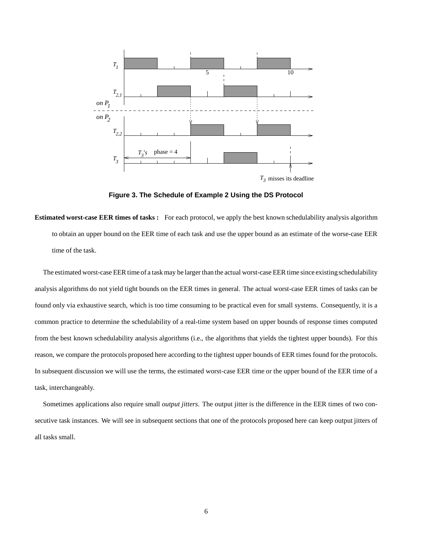

**Figure 3. The Schedule of Example 2 Using the DS Protocol**

**Estimated worst-case EER times of tasks :** For each protocol, we apply the best known schedulability analysis algorithm to obtain an upper bound on the EER time of each task and use the upper bound as an estimate of the worse-case EER time of the task.

The estimated worst-case EER time of a task may be larger than the actual worst-case EER time since existingschedulability analysis algorithms do not yield tight bounds on the EER times in general. The actual worst-case EER times of tasks can be found only via exhaustive search, which is too time consuming to be practical even for small systems. Consequently, it is a common practice to determine the schedulability of a real-time system based on upper bounds of response times computed from the best known schedulability analysis algorithms (i.e., the algorithms that yields the tightest upper bounds). For this reason, we compare the protocols proposed here according to the tightest upper bounds of EER times found for the protocols. In subsequent discussion we will use the terms, the estimated worst-case EER time or the upper bound of the EER time of a task, interchangeably.

Sometimes applications also require small *output jitters*. The output jitter is the difference in the EER times of two consecutive task instances. We will see in subsequent sections that one of the protocols proposed here can keep output jitters of all tasks small.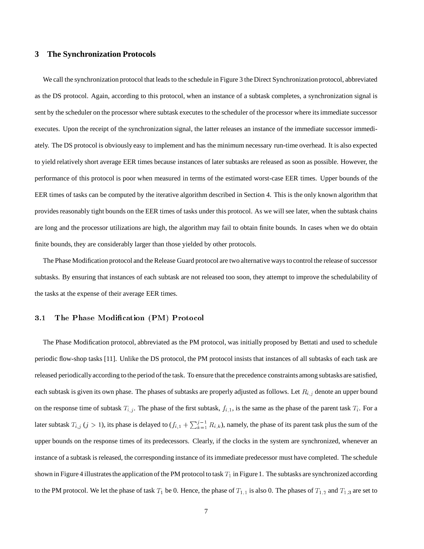## **3 The Synchronization Protocols**

We call the synchronization protocol that leads to the schedule in Figure 3 the Direct Synchronization protocol, abbreviated as the DS protocol. Again, according to this protocol, when an instance of a subtask completes, a synchronization signal is sent by the scheduler on the processor where subtask executes to the scheduler of the processor where its immediate successor executes. Upon the receipt of the synchronization signal, the latter releases an instance of the immediate successor immediately. The DS protocol is obviously easy to implement and has the minimum necessary run-time overhead. It is also expected to yield relatively short average EER times because instances of later subtasks are released as soon as possible. However, the performance of this protocol is poor when measured in terms of the estimated worst-case EER times. Upper bounds of the EER times of tasks can be computed by the iterative algorithm described in Section 4. This is the only known algorithm that provides reasonably tight bounds on the EER times of tasks under this protocol. As we will see later, when the subtask chains are long and the processor utilizations are high, the algorithm may fail to obtain finite bounds. In cases when we do obtain finite bounds, they are considerably larger than those yielded by other protocols.

The Phase Modification protocol and the Release Guard protocol are two alternative ways to control the release of successor subtasks. By ensuring that instances of each subtask are not released too soon, they attempt to improve the schedulability of the tasks at the expense of their average EER times.

#### $3.1$ 3.1 The Phase Modication (PM) Protocol

The Phase Modification protocol, abbreviated as the PM protocol, was initially proposed by Bettati and used to schedule periodic flow-shop tasks [11]. Unlike the DS protocol, the PM protocol insists that instances of all subtasks of each task are released periodicallyaccording to the period of the task. To ensure that the precedence constraints among subtasks are satisfied, each subtask is given its own phase. The phases of subtasks are properly adjusted as follows. Let  $R_{i,j}$  denote an upper bound on the response time of subtask  $T_{i,j}$ . The phase of the first subtask,  $f_{i,1}$ , is the same as the phase of the parent task  $T_i$ . For a later subtask  $T_{i,j}$  ( $j>1$ ), its phase is delayed to ( $f_{i,1} + \sum_{k=1}^{j-1} R_{i,k}$ ), namely, the phase of its parent task plus the sum of the upper bounds on the response times of its predecessors. Clearly, if the clocks in the system are synchronized, whenever an instance of a subtask is released, the corresponding instance of its immediate predecessor must have completed. The schedule shown in Figure 4 illustrates the application of the PM protocol to task  $T_1$  in Figure 1. The subtasks are synchronized according to the PM protocol. We let the phase of task  $T_1$  be 0. Hence, the phase of  $T_{1,1}$  is also 0. The phases of  $T_{1,2}$  and  $T_{1,3}$  are set to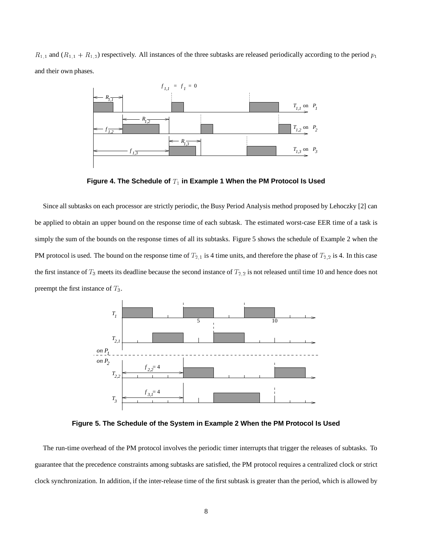$R_{1,1}$  and  $(R_{1,1} + R_{1,2})$  respectively. All instances of the three subtasks are released periodically according to the period  $p_1$ and their own phases.



Figure 4. The Schedule of  $T_1$  in Example 1 When the PM Protocol Is Used

Since all subtasks on each processor are strictly periodic, the Busy Period Analysis method proposed by Lehoczky [2] can be applied to obtain an upper bound on the response time of each subtask. The estimated worst-case EER time of a task is simply the sum of the bounds on the response times of all its subtasks. Figure 5 shows the schedule of Example 2 when the PM protocol is used. The bound on the response time of  $T_{2,1}$  is 4 time units, and therefore the phase of  $T_{2,2}$  is 4. In this case the first instance of  $T_3$  meets its deadline because the second instance of  $T_{2,2}$  is not released until time 10 and hence does not preempt the first instance of  $T_3$ .



**Figure 5. The Schedule of the System in Example 2 When the PM Protocol Is Used**

The run-time overhead of the PM protocol involves the periodic timer interrupts that trigger the releases of subtasks. To guarantee that the precedence constraints among subtasks are satisfied, the PM protocol requires a centralized clock or strict clock synchronization. In addition, if the inter-release time of the first subtask is greater than the period, which is allowed by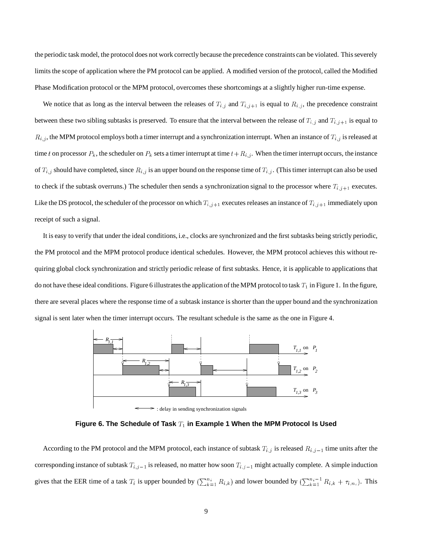the periodic task model, the protocol does not work correctly because the precedence constraints can be violated. This severely limits the scope of application where the PM protocol can be applied. A modified version of the protocol, called the Modified Phase Modification protocol or the MPM protocol, overcomes these shortcomings at a slightly higher run-time expense.

We notice that as long as the interval between the releases of  $T_{i,j}$  and  $T_{i,j+1}$  is equal to  $R_{i,j}$ , the precedence constraint between these two sibling subtasks is preserved. To ensure that the interval between the release of  $T_{i,j}$  and  $T_{i,j+1}$  is equal to  $R_{i,j}$ , the MPM protocol employs both a timer interrupt and a synchronization interrupt. When an instance of  $T_{i,j}$  is released at time t on processor  $P_k$ , the scheduler on  $P_k$  sets a timer interrupt at time  $t+R_{i,j}$ . When the timer interrupt occurs, the instance of  $T_{i,j}$  should have completed, since  $R_{i,j}$  is an upper bound on the response time of  $T_{i,j}$ . (This timer interrupt can also be used to check if the subtask overruns.) The scheduler then sends a synchronization signal to the processor where  $T_{i,j+1}$  executes. Like the DS protocol, the scheduler of the processor on which  $T_{i,j+1}$  executes releases an instance of  $T_{i,j+1}$  immediately upon receipt of such a signal.

It is easy to verify that under the ideal conditions, i.e., clocks are synchronized and the first subtasks being strictly periodic, the PM protocol and the MPM protocol produce identical schedules. However, the MPM protocol achieves this without requiring global clock synchronization and strictly periodic release of first subtasks. Hence, it is applicable to applications that do not have these ideal conditions. Figure 6 illustrates the application of the MPM protocol to task  $T_1$  in Figure 1. In the figure, there are several places where the response time of a subtask instance is shorter than the upper bound and the synchronization signal is sent later when the timer interrupt occurs. The resultant schedule is the same as the one in Figure 4.



Figure 6. The Schedule of Task  $T_1$  in Example 1 When the MPM Protocol Is Used

According to the PM protocol and the MPM protocol, each instance of subtask  $T_{i,j}$  is released  $R_{i,j-1}$  time units after the corresponding instance of subtask  $T_{i,j-1}$  is released, no matter how soon  $T_{i,j-1}$  might actually complete. A simple induction gives that the EER time of a task  $T_i$  is upper bounded by  $(\sum_{k=1}^{n_i} R_{i,k})$  and lower bounded by  $(\sum_{k=1}^{n_i-1} R_{i,k} + \tau_{i,n_i})$ . This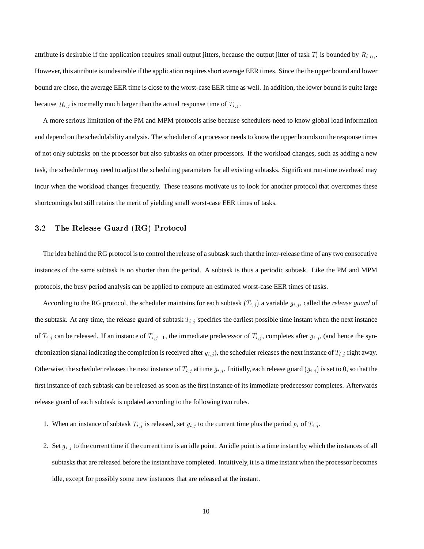attribute is desirable if the application requires small output jitters, because the output jitter of task  $T_i$  is bounded by  $R_{i,n_i}$ . However, this attribute is undesirable if the application requires short average EER times. Since the the upper bound and lower bound are close, the average EER time is close to the worst-case EER time as well. In addition, the lower bound is quite large because  $R_{i,j}$  is normally much larger than the actual response time of  $T_{i,j}$ .

A more serious limitation of the PM and MPM protocols arise because schedulers need to know global load information and depend on the schedulability analysis. The scheduler of a processor needs to know the upper bounds on the response times of not only subtasks on the processor but also subtasks on other processors. If the workload changes, such as adding a new task, the scheduler may need to adjust the scheduling parameters for all existing subtasks. Significant run-time overhead may incur when the workload changes frequently. These reasons motivate us to look for another protocol that overcomes these shortcomings but still retains the merit of yielding small worst-case EER times of tasks.

#### 3.2 The Release Guard (RG) Protocol

The idea behind the RG protocol is to control the release of a subtask such that the inter-release time of any two consecutive instances of the same subtask is no shorter than the period. A subtask is thus a periodic subtask. Like the PM and MPM protocols, the busy period analysis can be applied to compute an estimated worst-case EER times of tasks.

According to the RG protocol, the scheduler maintains for each subtask  $(T_{i,j})$  a variable  $g_{i,j}$ , called the *release guard* of the subtask. At any time, the release guard of subtask  $T_{i,j}$  specifies the earliest possible time instant when the next instance of  $T_{i,j}$  can be released. If an instance of  $T_{i,j-1}$ , the immediate predecessor of  $T_{i,j}$ , completes after  $g_{i,j}$ , (and hence the synchronization signal indicating the completion is received after  $g_{i,j}$ , the scheduler releases the next instance of  $T_{i,j}$  right away. Otherwise, the scheduler releases the next instance of  $T_{i,j}$  at time  $g_{i,j}$ . Initially, each release guard  $(g_{i,j})$  is set to 0, so that the first instance of each subtask can be released as soon as the first instance of its immediate predecessor completes. Afterwards release guard of each subtask is updated according to the following two rules.

- 1. When an instance of subtask  $T_{i,j}$  is released, set  $g_{i,j}$  to the current time plus the period  $p_i$  of  $T_{i,j}$ .
- 2. Set  $g_{i,j}$  to the current time if the current time is an idle point. An idle point is a time instant by which the instances of all subtasks that are released before the instant have completed. Intuitively, it is a time instant when the processor becomes idle, except for possibly some new instances that are released at the instant.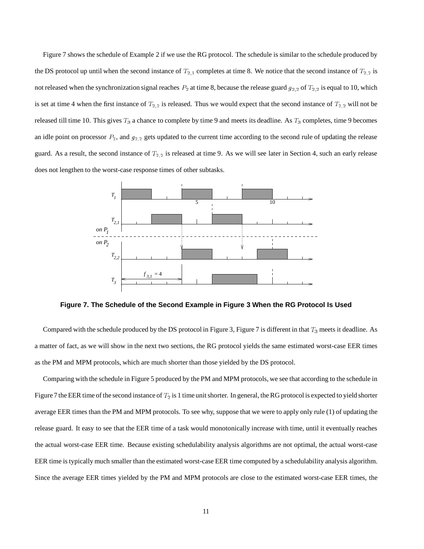Figure 7 shows the schedule of Example 2 if we use the RG protocol. The schedule is similar to the schedule produced by the DS protocol up until when the second instance of  $T_{2,1}$  completes at time 8. We notice that the second instance of  $T_{2,2}$  is not released when the synchronization signal reaches  $P_2$  at time 8, because the release guard  $g_{2,2}$  of  $T_{2,2}$  is equal to 10, which is set at time 4 when the first instance of  $T_{2,2}$  is released. Thus we would expect that the second instance of  $T_{2,2}$  will not be released till time 10. This gives  $T_3$  a chance to complete by time 9 and meets its deadline. As  $T_3$  completes, time 9 becomes an idle point on processor  $P_2$ , and  $g_{2,2}$  gets updated to the current time according to the second rule of updating the release guard. As a result, the second instance of  $T_{2,2}$  is released at time 9. As we will see later in Section 4, such an early release does not lengthen to the worst-case response times of other subtasks.



**Figure 7. The Schedule of the Second Example in Figure 3 When the RG Protocol Is Used**

Compared with the schedule produced by the DS protocol in Figure 3, Figure 7 is different in that  $T_3$  meets it deadline. As a matter of fact, as we will show in the next two sections, the RG protocol yields the same estimated worst-case EER times as the PM and MPM protocols, which are much shorter than those yielded by the DS protocol.

Comparing with the schedule in Figure 5 produced by the PM and MPM protocols, we see that according to the schedule in Figure 7 the EER time of the second instance of  $T_2$  is 1 time unit shorter. In general, the RG protocol is expected to yield shorter average EER times than the PM and MPM protocols. To see why, suppose that we were to apply only rule (1) of updating the release guard. It easy to see that the EER time of a task would monotonically increase with time, until it eventually reaches the actual worst-case EER time. Because existing schedulability analysis algorithms are not optimal, the actual worst-case EER time is typically much smaller than the estimated worst-case EER time computed by a schedulability analysis algorithm. Since the average EER times yielded by the PM and MPM protocols are close to the estimated worst-case EER times, the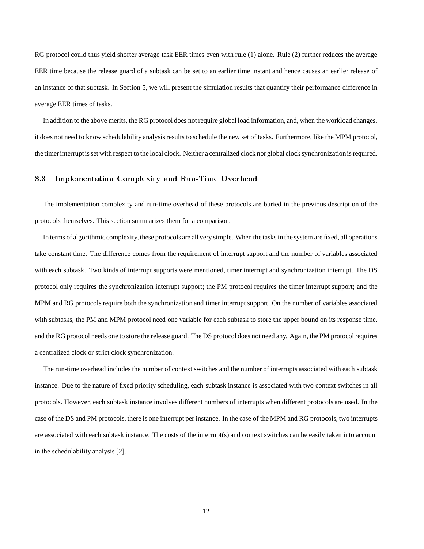RG protocol could thus yield shorter average task EER times even with rule (1) alone. Rule (2) further reduces the average EER time because the release guard of a subtask can be set to an earlier time instant and hence causes an earlier release of an instance of that subtask. In Section 5, we will present the simulation results that quantify their performance difference in average EER times of tasks.

In addition to the above merits, the RG protocol does not require global load information, and, when the workload changes, it does not need to know schedulability analysis results to schedule the new set of tasks. Furthermore, like the MPM protocol, the timer interrupt is set with respect to the local clock. Neither a centralized clock nor global clock synchronizationis required.

#### 3.3 Implementation Complexity and Run-Time Overhead

The implementation complexity and run-time overhead of these protocols are buried in the previous description of the protocols themselves. This section summarizes them for a comparison.

In terms of algorithmic complexity, these protocols are all very simple. When the tasks in the system are fixed, all operations take constant time. The difference comes from the requirement of interrupt support and the number of variables associated with each subtask. Two kinds of interrupt supports were mentioned, timer interrupt and synchronization interrupt. The DS protocol only requires the synchronization interrupt support; the PM protocol requires the timer interrupt support; and the MPM and RG protocols require both the synchronization and timer interrupt support. On the number of variables associated with subtasks, the PM and MPM protocol need one variable for each subtask to store the upper bound on its response time, and the RG protocol needs one to store the release guard. The DS protocol does not need any. Again, the PM protocol requires a centralized clock or strict clock synchronization.

The run-time overhead includes the number of context switches and the number of interrupts associated with each subtask instance. Due to the nature of fixed priority scheduling, each subtask instance is associated with two context switches in all protocols. However, each subtask instance involves different numbers of interrupts when different protocols are used. In the case of the DS and PM protocols, there is one interrupt per instance. In the case of the MPM and RG protocols, two interrupts are associated with each subtask instance. The costs of the interrupt(s) and context switches can be easily taken into account in the schedulability analysis [2].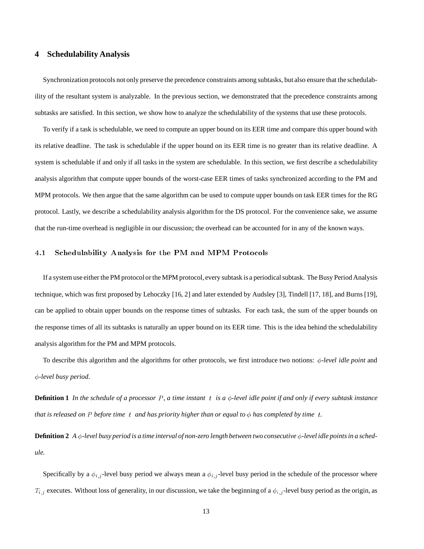# **4 Schedulability Analysis**

Synchronization protocols not only preserve the precedence constraints among subtasks, but also ensure that the schedulability of the resultant system is analyzable. In the previous section, we demonstrated that the precedence constraints among subtasks are satisfied. In this section, we show how to analyze the schedulability of the systems that use these protocols.

To verify if a task is schedulable, we need to compute an upper bound on its EER time and compare this upper bound with its relative deadline. The task is schedulable if the upper bound on its EER time is no greater than its relative deadline. A system is schedulable if and only if all tasks in the system are schedulable. In this section, we first describe a schedulability analysis algorithm that compute upper bounds of the worst-case EER times of tasks synchronized according to the PM and MPM protocols. We then argue that the same algorithm can be used to compute upper bounds on task EER times for the RG protocol. Lastly, we describe a schedulability analysis algorithm for the DS protocol. For the convenience sake, we assume that the run-time overhead is negligible in our discussion; the overhead can be accounted for in any of the known ways.

#### 4.1 Schedulability Analysis for the PM and MPM Protocols

If a system use either the PM protocol or the MPM protocol, every subtask is a periodical subtask. The Busy Period Analysis technique, which was first proposed by Lehoczky [16, 2] and later extended by Audsley [3], Tindell [17, 18], and Burns [19], can be applied to obtain upper bounds on the response times of subtasks. For each task, the sum of the upper bounds on the response times of all its subtasks is naturally an upper bound on its EER time. This is the idea behind the schedulability analysis algorithm for the PM and MPM protocols.

To describe this algorithm and the algorithms for other protocols, we first introduce two notions:  $\phi$ -level idle point and *-level busy period*.

**Definition 1** In the schedule of a processor P, a time instant  $t$  is a  $\phi$ -level idle point if and only if every subtask instance *that is released on* P *before time*  $t$  *and has priority higher than or equal to*  $\phi$  *has completed by time*  $t$ *.* 

**Definition 2** *A -level busy period is a time interval of non-zero length between two consecutive -level idle points in a schedule.*

Specifically by a  $\phi_{i,j}$ -level busy period we always mean a  $\phi_{i,j}$ -level busy period in the schedule of the processor where  $T_{i,j}$  executes. Without loss of generality, in our discussion, we take the beginning of a  $\phi_{i,j}$ -level busy period as the origin, as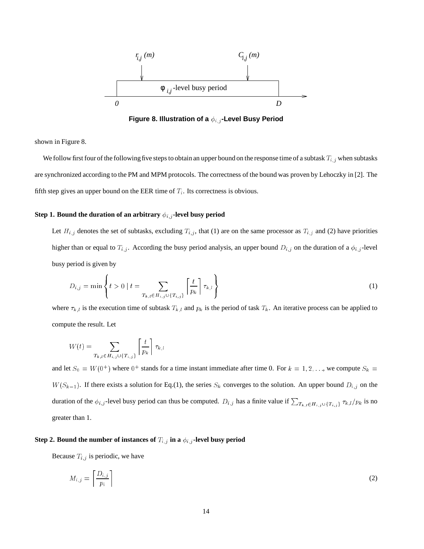

Figure 8. Illustration of a  $\phi_{i,j}$ -Level Busy Period

shown in Figure 8.

We follow first four of the following five steps to obtain an upper bound on the response time of a subtask  $T_{i,j}$  when subtasks are synchronized according to the PM and MPM protocols. The correctness of the bound was proven by Lehoczky in [2]. The fifth step gives an upper bound on the EER time of  $T_i$ . Its correctness is obvious.

#### **Step 1. Bound the duration of an arbitrary**  $\phi_{i,j}$ -level busy period

Let  $H_{i,j}$  denotes the set of subtasks, excluding  $T_{i,j}$ , that (1) are on the same processor as  $T_{i,j}$  and (2) have priorities higher than or equal to  $T_{i,j}$ . According the busy period analysis, an upper bound  $D_{i,j}$  on the duration of a  $\phi_{i,j}$ -level busy period is given by

$$
D_{i,j} = \min \left\{ t > 0 \mid t = \sum_{T_{k,i} \in H_{i,j} \cup \{T_{i,j}\}} \left\lceil \frac{t}{p_k} \right\rceil \tau_{k,i} \right\}
$$
(1)

where  $\tau_{k,l}$  is the execution time of subtask  $T_{k,l}$  and  $p_k$  is the period of task  $T_k$ . An iterative process can be applied to compute the result. Let

$$
W(t) = \sum_{T_{k,l} \in H_{i,j} \cup \{T_{i,j}\}} \left\lceil \frac{t}{p_k} \right\rceil \tau_{k,l}
$$

and let  $S_0 = W(0^+)$  where  $0^+$  stands for a time instant immediate after time 0. For  $k = 1, 2, \ldots$ , we compute  $S_k =$  $W(S_{k-1})$ . If there exists a solution for Eq.(1), the series  $S_k$  converges to the solution. An upper bound  $D_{i,j}$  on the duration of the  $\phi_{i,j}$ -level busy period can thus be computed.  $D_{i,j}$  has a finite value if  $\sum_{T_{k,l}\in H_{i,j}\cup\{T_{i,j}\}}\tau_{k,l}/p_k$  is no greater than 1.

#### **Step 2. Bound the number of instances of**  $T_{i,j}$  **in a**  $\phi_{i,j}$ -level busy period

Because  $T_{i,j}$  is periodic, we have

$$
M_{i,j} = \left\lceil \frac{D_{i,j}}{p_i} \right\rceil \tag{2}
$$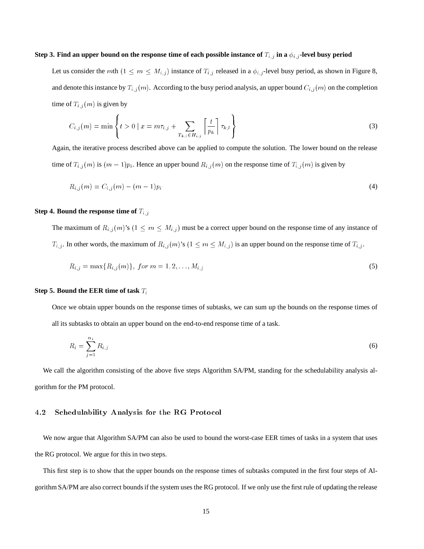#### **Step 3. Find an upper bound on the response time of each possible instance of**  $T_{i,j}$  **in a**  $\phi_{i,j}$ **-level busy period**

Let us consider the mth  $(1 \le m \le M_{i,j})$  instance of  $T_{i,j}$  released in a  $\phi_{i,j}$ -level busy period, as shown in Figure 8, and denote this instance by  $T_{i,j}(m)$ . According to the busy period analysis, an upper bound  $C_{i,j}(m)$  on the completion time of  $T_{i,j}(m)$  is given by

$$
C_{i,j}(m) = \min \left\{ t > 0 \mid x = m\tau_{i,j} + \sum_{T_{k,l} \in H_{i,j}} \left[ \frac{t}{p_k} \right] \tau_{k,l} \right\}
$$
(3)

99.99

Again, the iterative process described above can be applied to compute the solution. The lower bound on the release time of  $T_{i,j}(m)$  is  $(m-1)p_i$ . Hence an upper bound  $R_{i,j}(m)$  on the response time of  $T_{i,j}(m)$  is given by

$$
R_{i,j}(m) = C_{i,j}(m) - (m-1)p_i \tag{4}
$$

#### **Step 4. Bound the response time of**  $T_{i,j}$

<sup>8</sup>

The maximum of  $R_{i,j}(m)$ 's  $(1 \le m \le M_{i,j})$  must be a correct upper bound on the response time of any instance of  $T_{i,j}$ . In other words, the maximum of  $R_{i,j}(m)$ 's  $(1 \le m \le M_{i,j})$  is an upper bound on the response time of  $T_{i,j}$ .

$$
R_{i,j} = \max\{R_{i,j}(m)\}, \text{ for } m = 1, 2, \dots, M_{i,j}
$$
\n<sup>(5)</sup>

#### **Step 5. Bound the EER time of task** Ti

Once we obtain upper bounds on the response times of subtasks, we can sum up the bounds on the response times of all its subtasks to obtain an upper bound on the end-to-end response time of a task.

$$
R_i = \sum_{j=1}^{n_i} R_{i,j} \tag{6}
$$

We call the algorithm consisting of the above five steps Algorithm SA/PM, standing for the schedulability analysis algorithm for the PM protocol.

#### 4.2 Schedulability Analysis for the RG Protocol

We now argue that Algorithm SA/PM can also be used to bound the worst-case EER times of tasks in a system that uses the RG protocol. We argue for this in two steps.

This first step is to show that the upper bounds on the response times of subtasks computed in the first four steps of Algorithm SA/PM are also correct bounds if the system uses the RG protocol. If we only use the first rule of updating the release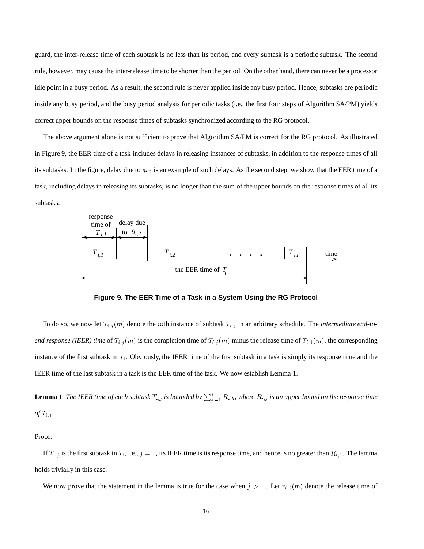guard, the inter-release time of each subtask is no less than its period, and every subtask is a periodic subtask. The second rule, however, may cause the inter-release time to be shorter than the period. On the other hand, there can never be a processor idle point in a busy period. As a result, the second rule is never applied inside any busy period. Hence, subtasks are periodic inside any busy period, and the busy period analysis for periodic tasks (i.e., the first four steps of Algorithm SA/PM) yields correct upper bounds on the response times of subtasks synchronized according to the RG protocol.

The above argument alone is not sufficient to prove that Algorithm SA/PM is correct for the RG protocol. As illustrated in Figure 9, the EER time of a task includes delays in releasing instances of subtasks, in addition to the response times of all its subtasks. In the figure, delay due to  $g_{i,2}$  is an example of such delays. As the second step, we show that the EER time of a task, including delays in releasing its subtasks, is no longer than the sum of the upper bounds on the response times of all its subtasks.



**Figure 9. The EER Time of a Task in a System Using the RG Protocol**

To do so, we now let  $T_{i,j}(m)$  denote the mth instance of subtask  $T_{i,j}$  in an arbitrary schedule. The *intermediate end-toend response (IEER) time* of  $T_{i,j}(m)$  is the completion time of  $T_{i,j}(m)$  minus the release time of  $T_{i,1}(m)$ , the corresponding instance of the first subtask in  $T_i$ . Obviously, the IEER time of the first subtask in a task is simply its response time and the IEER time of the last subtask in a task is the EER time of the task. We now establish Lemma 1.

**Lemma 1** The IEER time of each subtask  $T_{i,j}$  is bounded by  $\sum_{k=1}^j R_{i,k}$ , where  $R_{i,j}$  is an upper bound on the response time *of*  $T_{i,j}$ *.* 

Proof:

If  $T_{i,j}$  is the first subtask in  $T_i$ , i.e.,  $j = 1$ , its IEER time is its response time, and hence is no greater than  $R_{i,1}$ . The lemma holds trivially in this case.

We now prove that the statement in the lemma is true for the case when  $j > 1$ . Let  $r_{i,j}(m)$  denote the release time of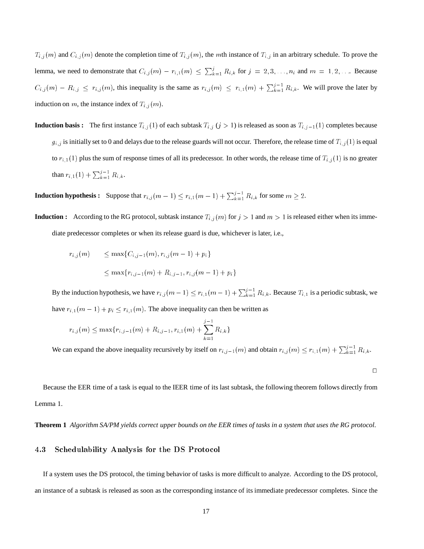$T_{i,j}(m)$  and  $C_{i,j}(m)$  denote the completion time of  $T_{i,j}(m)$ , the mth instance of  $T_{i,j}$  in an arbitrary schedule. To prove the lemma, we need to demonstrate that  $C_{i,j}(m) - r_{i,1}(m) \le \sum_{k=1}^{j} R_{i,k}$  for  $j = 2,3,...,n_i$  and  $m = 1,2,...$  Because  $C_{i,j}(m) - R_{i,j} \leq r_{i,j}(m)$ , this inequality is the same as  $r_{i,j}(m) \leq r_{i,1}(m) + \sum_{k=1}^{j-1} R_{i,k}$ . We will prove the later by induction on m, the instance index of  $T_{i,j}(m)$ .

**Induction basis :** The first instance  $T_{i,j}(1)$  of each subtask  $T_{i,j}(j>1)$  is released as soon as  $T_{i,j-1}(1)$  completes because  $g_{i,j}$  is initially set to 0 and delays due to the release guards will not occur. Therefore, the release time of  $T_{i,j}(1)$  is equal to  $r_{i,1}(1)$  plus the sum of response times of all its predecessor. In other words, the release time of  $T_{i,j}(1)$  is no greater than  $r_{i,1}(1) + \sum_{k=1}^{j-1} R_{i,k}$ .

**Induction hypothesis :** Suppose that  $r_{i,j}(m-1) \leq r_{i,1}(m-1) + \sum_{k=1}^{j-1} R_{i,k}$  for some  $m \geq 2$ .

**Induction :** According to the RG protocol, subtask instance  $T_{i,j}(m)$  for  $j > 1$  and  $m > 1$  is released either when its immediate predecessor completes or when its release guard is due, whichever is later, i.e.,

$$
r_{i,j}(m) \le \max\{C_{i,j-1}(m), r_{i,j}(m-1) + p_i\}
$$
  

$$
\le \max\{r_{i,j-1}(m) + R_{i,j-1}, r_{i,j}(m-1) + p_i\}
$$

By the induction hypothesis, we have  $r_{i,j}(m-1) \le r_{i,1}(m-1) + \sum_{k=1}^{j-1} R_{i,k}$ . Because  $T_{i,1}$  is a periodic subtask, we have  $r_{i,1}(m - 1) + p_i \leq r_{i,1}(m)$ . The above inequality can then be written as

$$
r_{i,j}(m) \leq \max\{r_{i,j-1}(m) + R_{i,j-1}, r_{i,1}(m) + \sum_{k=1}^{j-1} R_{i,k}\}\
$$

We can expand the above inequality recursively by itself on  $r_{i,j-1}(m)$  and obtain  $r_{i,j}(m) \leq r_{i,1}(m) + \sum_{k=1}^{j-1} R_{i,k}$ .

 $\Box$ 

Because the EER time of a task is equal to the IEER time of its last subtask, the following theorem follows directly from Lemma 1.

**Theorem 1** *Algorithm SA/PM yields correct upper bounds on the EER times of tasks in a system that uses the RG protocol.*

## 4.3 Schedulability Analysis for the DS Protocol

If a system uses the DS protocol, the timing behavior of tasks is more difficult to analyze. According to the DS protocol, an instance of a subtask is released as soon as the corresponding instance of its immediate predecessor completes. Since the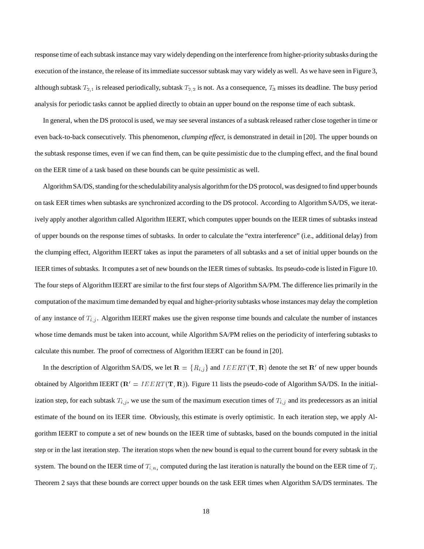response time of each subtask instance may vary widely depending on the interference from higher-prioritysubtasks during the execution of the instance, the release of its immediate successor subtask may vary widely as well. As we have seen in Figure 3, although subtask  $T_{2,1}$  is released periodically, subtask  $T_{2,2}$  is not. As a consequence,  $T_3$  misses its deadline. The busy period analysis for periodic tasks cannot be applied directly to obtain an upper bound on the response time of each subtask.

In general, when the DS protocol is used, we may see several instances of a subtask released rather close together in time or even back-to-back consecutively. This phenomenon, *clumping effect*, is demonstrated in detail in [20]. The upper bounds on the subtask response times, even if we can find them, can be quite pessimistic due to the clumping effect, and the final bound on the EER time of a task based on these bounds can be quite pessimistic as well.

AlgorithmSA/DS, standingfor the schedulabilityanalysis algorithmfor the DS protocol, was designed to find upper bounds on task EER times when subtasks are synchronized according to the DS protocol. According to Algorithm SA/DS, we iteratively apply another algorithm called Algorithm IEERT, which computes upper bounds on the IEER times of subtasks instead of upper bounds on the response times of subtasks. In order to calculate the "extra interference" (i.e., additional delay) from the clumping effect, Algorithm IEERT takes as input the parameters of all subtasks and a set of initial upper bounds on the IEER times of subtasks. It computes a set of new bounds on the IEER times of subtasks. Its pseudo-code is listed in Figure 10. The four steps of Algorithm IEERT are similar to the first four steps of Algorithm SA/PM. The difference lies primarily in the computation of the maximum time demanded by equal and higher-prioritysubtasks whose instances may delay the completion of any instance of  $T_{i,j}$ . Algorithm IEERT makes use the given response time bounds and calculate the number of instances whose time demands must be taken into account, while Algorithm SA/PM relies on the periodicity of interfering subtasks to calculate this number. The proof of correctness of Algorithm IEERT can be found in [20].

In the description of Algorithm SA/DS, we let  $\mathbf{R} = \{R_{i,j}\}\$ and  $IEEERT(\mathbf{T}, \mathbf{R})$  denote the set  $\mathbf{R}'$  of new upper bounds obtained by Algorithm IEERT ( $\mathbf{R}' = I E E R T(\mathbf{T}, \mathbf{R})$ ). Figure 11 lists the pseudo-code of Algorithm SA/DS. In the initialization step, for each subtask  $T_{i,j}$ , we use the sum of the maximum execution times of  $T_{i,j}$  and its predecessors as an initial estimate of the bound on its IEER time. Obviously, this estimate is overly optimistic. In each iteration step, we apply Algorithm IEERT to compute a set of new bounds on the IEER time of subtasks, based on the bounds computed in the initial step or in the last iteration step. The iteration stops when the new bound is equal to the current bound for every subtask in the system. The bound on the IEER time of  $T_{i,n_i}$  computed during the last iteration is naturally the bound on the EER time of  $T_i$ . Theorem 2 says that these bounds are correct upper bounds on the task EER times when Algorithm SA/DS terminates. The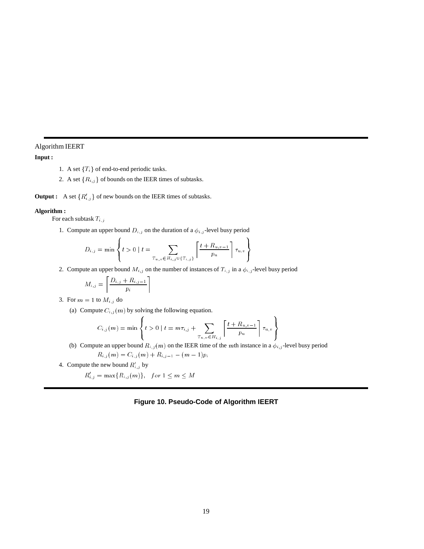#### Algorithm IEERT

# **Input :**

- 1. A set  $\{T_i\}$  of end-to-end periodic tasks.
- 2. A set  $\{R_{i,j}\}$  of bounds on the IEER times of subtasks.
- **Output :** A set  $\{R'_{i,j}\}$  of new bounds on the IEER times of subtasks.

#### **Algorithm :**

For each subtask  $T_{i,j}$ 

1. Compute an upper bound  $D_{i,j}$  on the duration of a  $\phi_{i,j}$ -level busy period

$$
D_{i,j} = \min \left\{ t > 0 \mid t = \sum_{T_{u,v} \in H_{i,j} \cup \{T_{i,j}\}} \left\lceil \frac{t + R_{u,v-1}}{p_u} \right\rceil \tau_{u,v} \right\}
$$

2. Compute an upper bound  $M_{i,j}$  on the number of instances of  $T_{i,j}$  in a  $\phi_{i,j}$ -level busy period

$$
M_{i,j} = \left\lceil \frac{D_{i,j} + R_{i,j-1}}{p_i} \right\rceil
$$

**8.12 Street** 

3. For  $m = 1$  to  $M_{i,j}$  do

(a) Compute  $C_{i,j}(m)$  by solving the following equation.

$$
C_{i,j}(m) = \min \left\{ t > 0 \mid t = m \tau_{i,j} + \sum_{T_{u,v} \in H_{i,j}} \left\lceil \frac{t + R_{u,v-1}}{p_u} \right\rceil \tau_{u,v} \right\}
$$

(b) Compute an upper bound  $R_{i,j}(m)$  on the IEER time of the mth instance in a  $\phi_{i,j}$ -level busy period  $R_{i,j}(m) = C_{i,j}(m) + R_{i,j}$ 

99.99

99.99

$$
R_{i,j}(m) = C_{i,j}(m) + R_{i,j-1} - (m-1)p_i
$$

4. Compute the new bound  $R'_{i,j}$  by

$$
R'_{i,j} = \max\{R_{i,j}(m)\}, \quad for \ 1 \le m \le M
$$

# **Figure 10. Pseudo-Code of Algorithm IEERT**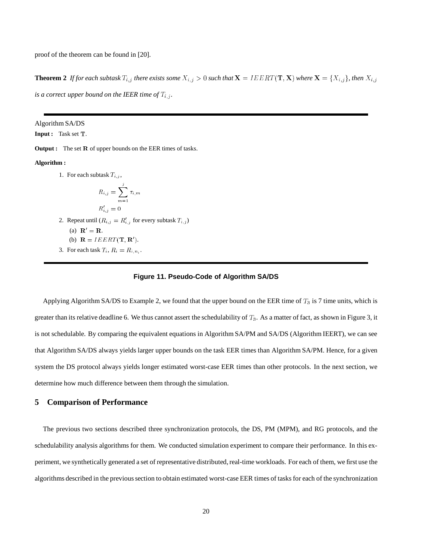proof of the theorem can be found in [20].

**Theorem 2** If for each subtask  $T_{i,j}$  there exists some  $X_{i,j} > 0$  such that  $X = I E E R T(T, X)$  where  $X = \{X_{i,j}\}\$ , then  $X_{i,j}$ 

*is a correct upper bound on the IEER time of*  $T_{i,j}$ *.* 

Algorithm SA/DS

**Input :** Task set <sup>T</sup>.

**Output :** The set <sup>R</sup> of upper bounds on the EER times of tasks.

**Algorithm :**

1. For each subtask  $T_{i,j}$ ,  $R_{i,j} = \sum_{j}$ . . *. . . .* .  $R_{i,j} = 0$ 2. Repeat until  $(R_{i,j} = R'_{i,j}$  for every subtask  $T_{i,j}$ ) (a)  $\mathbf{R}' = \mathbf{R}$ . (b)  $\mathbf{R} = I E E R T(\mathbf{T}, \mathbf{R}^t)$ .

3. For each task  $T_i$ ,  $R_i = R_{i,n_i}$ .

#### **Figure 11. Pseudo-Code of Algorithm SA/DS**

Applying Algorithm SA/DS to Example 2, we found that the upper bound on the EER time of  $T_3$  is 7 time units, which is greater than its relative deadline 6. We thus cannot assert the schedulability of  $T_3$ . As a matter of fact, as shown in Figure 3, it is not schedulable. By comparing the equivalent equations in Algorithm SA/PM and SA/DS (Algorithm IEERT), we can see that Algorithm SA/DS always yields larger upper bounds on the task EER times than Algorithm SA/PM. Hence, for a given system the DS protocol always yields longer estimated worst-case EER times than other protocols. In the next section, we determine how much difference between them through the simulation.

#### **5 Comparison of Performance**

The previous two sections described three synchronization protocols, the DS, PM (MPM), and RG protocols, and the schedulability analysis algorithms for them. We conducted simulation experiment to compare their performance. In this experiment, we synthetically generated a set of representative distributed, real-time workloads. For each of them, we first use the algorithms described in the previous section to obtain estimated worst-case EER times of tasks for each of the synchronization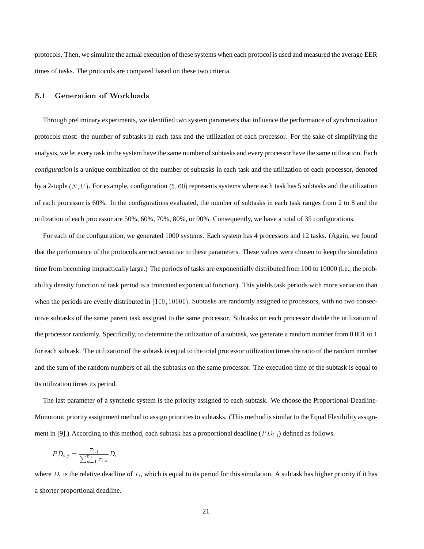protocols. Then, we simulate the actual execution of these systems when each protocol is used and measured the average EER times of tasks. The protocols are compared based on these two criteria.

#### 5.1 Generation of Workloads  $5.1$

Through preliminary experiments, we identified two system parameters that influence the performance of synchronization protocols most: the number of subtasks in each task and the utilization of each processor. For the sake of simplifying the analysis, we let every task in the system have the same number of subtasks and every processor have the same utilization. Each *configuration* is a unique combination of the number of subtasks in each task and the utilization of each processor, denoted by a 2-tuple  $(N, U)$ . For example, configuration  $(5, 60)$  represents systems where each task has 5 subtasks and the utilization of each processor is 60%. In the configurations evaluated, the number of subtasks in each task ranges from 2 to 8 and the utilization of each processor are 50%, 60%, 70%, 80%, or 90%. Consequently, we have a total of 35 configurations.

For each of the configuration, we generated 1000 systems. Each system has 4 processors and 12 tasks. (Again, we found that the performance of the protocols are not sensitive to these parameters. These values were chosen to keep the simulation time from becoming impractically large.) The periods of tasks are exponentially distributed from 100 to 10000 (i.e., the probability density function of task period is a truncated exponential function). This yields task periods with more variation than when the periods are evenly distributed in (100, 10000). Subtasks are randomly assigned to processors, with no two consecutive subtasks of the same parent task assigned to the same processor. Subtasks on each processor divide the utilization of the processor randomly. Specifically, to determine the utilization of a subtask, we generate a random number from 0.001 to 1 for each subtask. The utilization of the subtask is equal to the total processor utilization times the ratio of the random number and the sum of the random numbers of all the subtasks on the same processor. The execution time of the subtask is equal to its utilization times its period.

The last parameter of a synthetic system is the priority assigned to each subtask. We choose the Proportional-Deadline-Monotonic priority assignment method to assign prioritiesto subtasks. (This method is similar to the Equal Flexibility assignment in [9].) According to this method, each subtask has a proportional deadline ( $PD_{i,j}$ ) defined as follows.

$$
PD_{i,j} = \frac{\tau_{i,j}}{\sum_{k=1}^{n_i} \tau_{i,k}} D_i
$$

where  $D_i$  is the relative deadline of  $T_i$ , which is equal to its period for this simulation. A subtask has higher priority if it has a shorter proportional deadline.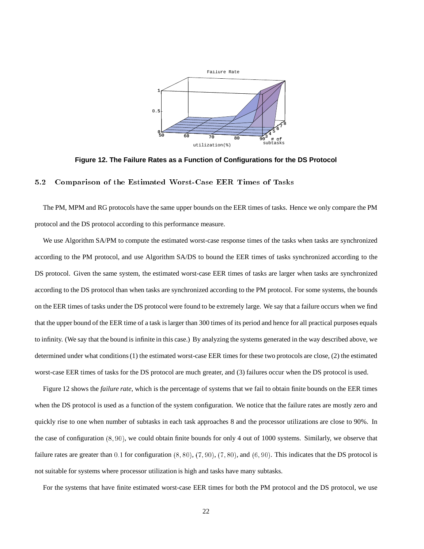

**Figure 12. The Failure Rates as a Function of Configurations for the DS Protocol**

# 5.2 Comparison of the Estimated Worst-Case EER Times of Tasks

The PM, MPM and RG protocols have the same upper bounds on the EER times of tasks. Hence we only compare the PM protocol and the DS protocol according to this performance measure.

We use Algorithm SA/PM to compute the estimated worst-case response times of the tasks when tasks are synchronized according to the PM protocol, and use Algorithm SA/DS to bound the EER times of tasks synchronized according to the DS protocol. Given the same system, the estimated worst-case EER times of tasks are larger when tasks are synchronized according to the DS protocol than when tasks are synchronized according to the PM protocol. For some systems, the bounds on the EER times of tasks under the DS protocol were found to be extremely large. We say that a failure occurs when we find that the upper bound of the EER time of a task is larger than 300 times of its period and hence for all practical purposes equals to infinity. (We say that the bound is infinite in this case.) By analyzing the systems generated in the way described above, we determined under what conditions (1) the estimated worst-case EER times for these two protocols are close, (2) the estimated worst-case EER times of tasks for the DS protocol are much greater, and (3) failures occur when the DS protocol is used.

Figure 12 shows the *failure rate*, which is the percentage of systems that we fail to obtain finite bounds on the EER times when the DS protocol is used as a function of the system configuration. We notice that the failure rates are mostly zero and quickly rise to one when number of subtasks in each task approaches 8 and the processor utilizations are close to 90%. In the case of configuration (8; 90), we could obtain finite bounds for only 4 out of 1000 systems. Similarly, we observe that failure rates are greater than  $0.1$  for configuration  $(8, 80)$ ,  $(7, 90)$ ,  $(7, 80)$ , and  $(6, 90)$ . This indicates that the DS protocol is not suitable for systems where processor utilization is high and tasks have many subtasks.

For the systems that have finite estimated worst-case EER times for both the PM protocol and the DS protocol, we use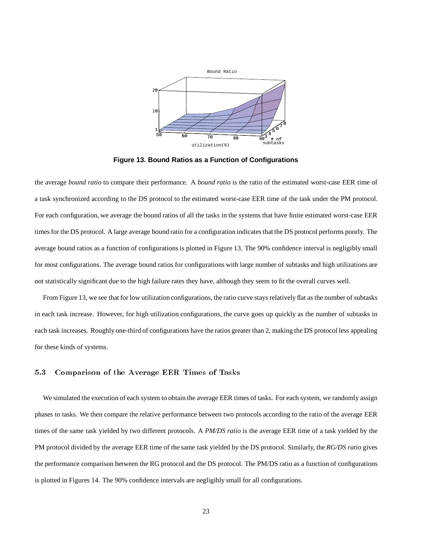

**Figure 13. Bound Ratios as a Function of Configurations**

the average *bound ratio* to compare their performance. A *bound ratio* is the ratio of the estimated worst-case EER time of a task synchronized according to the DS protocol to the estimated worst-case EER time of the task under the PM protocol. For each configuration, we average the bound ratios of all the tasks in the systems that have finite estimated worst-case EER times for the DS protocol. A large average bound ratio for a configuration indicates that the DS protocol performs poorly. The average bound ratios as a function of configurations is plotted in Figure 13. The 90% confidence interval is negligibly small for most configurations. The average bound ratios for configurations with large number of subtasks and high utilizations are not statistically significant due to the high failure rates they have, although they seem to fit the overall curves well.

From Figure 13, we see that for low utilization configurations, the ratio curve stays relatively flat as the number of subtasks in each task increase. However, for high utilization configurations, the curve goes up quickly as the number of subtasks in each task increases. Roughly one-third of configurations have the ratios greater than 2, making the DS protocol less appealing for these kinds of systems.

## 5.3 Comparison of the Average EER Times of Tasks

We simulated the execution of each system to obtain the average EER times of tasks. For each system, we randomly assign phases to tasks. We then compare the relative performance between two protocols according to the ratio of the average EER times of the same task yielded by two different protocols. A *PM/DS ratio* is the average EER time of a task yielded by the PM protocol divided by the average EER time of the same task yielded by the DS protocol. Similarly, the *RG/DS ratio* gives the performance comparison between the RG protocol and the DS protocol. The PM/DS ratio as a function of configurations is plotted in Figures 14. The 90% confidence intervals are negligibly small for all configurations.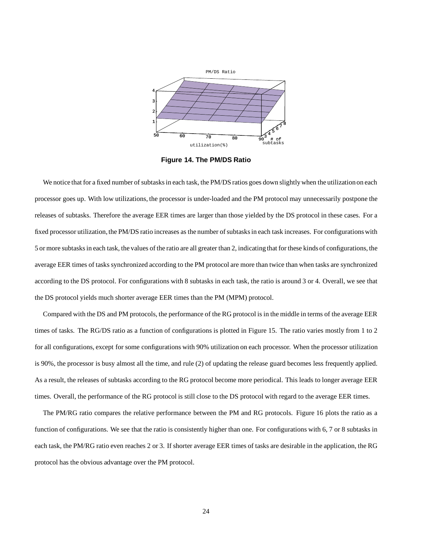

**Figure 14. The PM/DS Ratio**

We notice that for a fixed number of subtasks in each task, the PM/DS ratios goes down slightly when the utilization on each processor goes up. With low utilizations, the processor is under-loaded and the PM protocol may unnecessarily postpone the releases of subtasks. Therefore the average EER times are larger than those yielded by the DS protocol in these cases. For a fixed processor utilization, the PM/DS ratio increases as the number of subtasks in each task increases. For configurations with 5 or more subtasks in each task, the values of the ratio are all greater than 2, indicatingthat for these kinds of configurations, the average EER times of tasks synchronized according to the PM protocol are more than twice than when tasks are synchronized according to the DS protocol. For configurations with 8 subtasks in each task, the ratio is around 3 or 4. Overall, we see that the DS protocol yields much shorter average EER times than the PM (MPM) protocol.

Compared with the DS and PM protocols, the performance of the RG protocol is in the middle in terms of the average EER times of tasks. The RG/DS ratio as a function of configurations is plotted in Figure 15. The ratio varies mostly from 1 to 2 for all configurations, except for some configurations with 90% utilization on each processor. When the processor utilization is 90%, the processor is busy almost all the time, and rule (2) of updating the release guard becomes less frequently applied. As a result, the releases of subtasks according to the RG protocol become more periodical. This leads to longer average EER times. Overall, the performance of the RG protocol is still close to the DS protocol with regard to the average EER times.

The PM/RG ratio compares the relative performance between the PM and RG protocols. Figure 16 plots the ratio as a function of configurations. We see that the ratio is consistently higher than one. For configurations with 6, 7 or 8 subtasks in each task, the PM/RG ratio even reaches 2 or 3. If shorter average EER times of tasks are desirable in the application, the RG protocol has the obvious advantage over the PM protocol.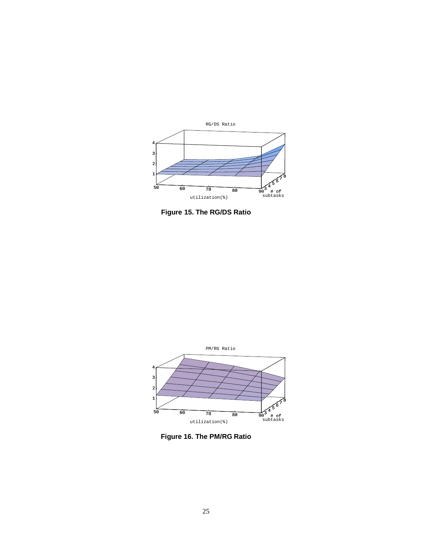

**Figure 15. The RG/DS Ratio**



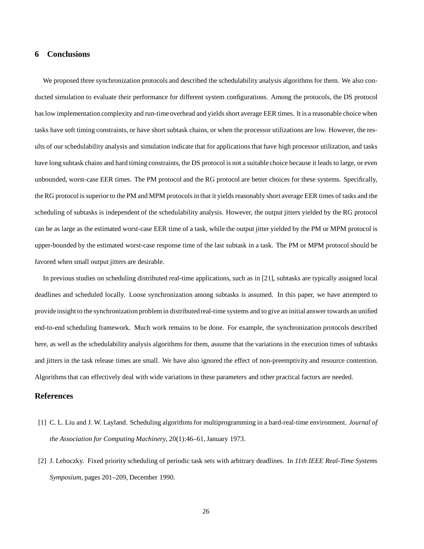## **6 Conclusions**

We proposed three synchronization protocols and described the schedulability analysis algorithms for them. We also conducted simulation to evaluate their performance for different system configurations. Among the protocols, the DS protocol has low implementation complexity and run-time overhead and yields short average EER times. It is a reasonable choice when tasks have soft timing constraints, or have short subtask chains, or when the processor utilizations are low. However, the results of our schedulability analysis and simulation indicate that for applications that have high processor utilization, and tasks have long subtask chains and hard timing constraints, the DS protocol is not a suitable choice because it leads to large, or even unbounded, worst-case EER times. The PM protocol and the RG protocol are better choices for these systems. Specifically, the RG protocol is superior to the PM and MPM protocols in that it yields reasonably short average EER times of tasks and the scheduling of subtasks is independent of the schedulability analysis. However, the output jitters yielded by the RG protocol can be as large as the estimated worst-case EER time of a task, while the output jitter yielded by the PM or MPM protocol is upper-bounded by the estimated worst-case response time of the last subtask in a task. The PM or MPM protocol should be favored when small output jitters are desirable.

In previous studies on scheduling distributed real-time applications, such as in [21], subtasks are typically assigned local deadlines and scheduled locally. Loose synchronization among subtasks is assumed. In this paper, we have attempted to provide insight to the synchronization problem in distributedreal-time systems and to give an initial answer towards an unified end-to-end scheduling framework. Much work remains to be done. For example, the synchronization protocols described here, as well as the schedulability analysis algorithms for them, assume that the variations in the execution times of subtasks and jitters in the task release times are small. We have also ignored the effect of non-preemptivity and resource contention. Algorithms that can effectively deal with wide variations in these parameters and other practical factors are needed.

# **References**

- [1] C. L. Liu and J. W. Layland. Scheduling algorithms for multiprogramming in a hard-real-time environment. *Journal of the Association for Computing Machinery*, 20(1):46–61, January 1973.
- [2] J. Lehoczky. Fixed priority scheduling of periodic task sets with arbitrary deadlines. In *11th IEEE Real-Time Systems Symposium*, pages 201–209, December 1990.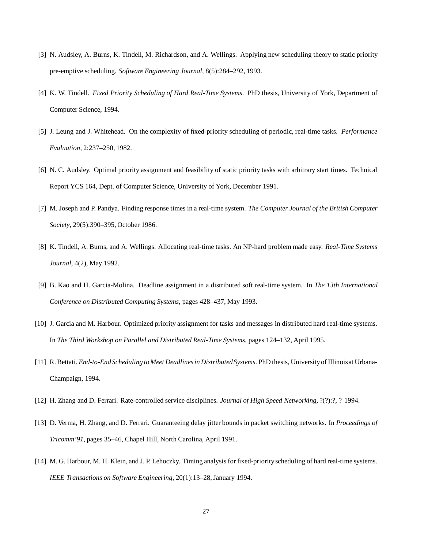- [3] N. Audsley, A. Burns, K. Tindell, M. Richardson, and A. Wellings. Applying new scheduling theory to static priority pre-emptive scheduling. *Software Engineering Journal*, 8(5):284–292, 1993.
- [4] K. W. Tindell. *Fixed Priority Scheduling of Hard Real-Time Systems*. PhD thesis, University of York, Department of Computer Science, 1994.
- [5] J. Leung and J. Whitehead. On the complexity of fixed-priority scheduling of periodic, real-time tasks. *Performance Evaluation*, 2:237–250, 1982.
- [6] N. C. Audsley. Optimal priority assignment and feasibility of static priority tasks with arbitrary start times. Technical Report YCS 164, Dept. of Computer Science, University of York, December 1991.
- [7] M. Joseph and P. Pandya. Finding response times in a real-time system. *The Computer Journal of the British Computer Society*, 29(5):390–395, October 1986.
- [8] K. Tindell, A. Burns, and A. Wellings. Allocating real-time tasks. An NP-hard problem made easy. *Real-Time Systems Journal*, 4(2), May 1992.
- [9] B. Kao and H. Garcia-Molina. Deadline assignment in a distributed soft real-time system. In *The 13th International Conference on Distributed Computing Systems*, pages 428–437, May 1993.
- [10] J. Garcia and M. Harbour. Optimized priority assignment for tasks and messages in distributed hard real-time systems. In *The Third Workshop on Parallel and Distributed Real-Time Systems*, pages 124–132, April 1995.
- [11] R. Bettati. *End-to-EndScheduling to Meet Deadlines in DistributedSystems*. PhD thesis, Universityof Illinoisat Urbana-Champaign, 1994.
- [12] H. Zhang and D. Ferrari. Rate-controlled service disciplines. *Journal of High Speed Networking*, ?(?):?, ? 1994.
- [13] D. Verma, H. Zhang, and D. Ferrari. Guaranteeing delay jitter bounds in packet switching networks. In *Proceedings of Tricomm'91*, pages 35–46, Chapel Hill, North Carolina, April 1991.
- [14] M. G. Harbour, M. H. Klein, and J. P. Lehoczky. Timing analysis for fixed-priorityscheduling of hard real-time systems. *IEEE Transactions on Software Engineering*, 20(1):13–28, January 1994.